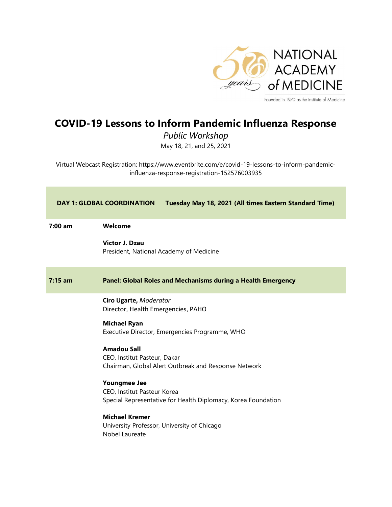

Founded in 1970 as the Institute of Medicine

## COVID-19 Lessons to Inform Pandemic Influenza Response

Public Workshop May 18, 21, and 25, 2021

Virtual Webcast Registration: https://www.eventbrite.com/e/covid-19-lessons-to-inform-pandemicinfluenza-response-registration-152576003935

| Tuesday May 18, 2021 (All times Eastern Standard Time)<br><b>DAY 1: GLOBAL COORDINATION</b> |                                                                                                                     |
|---------------------------------------------------------------------------------------------|---------------------------------------------------------------------------------------------------------------------|
| $7:00 \text{ am}$                                                                           | Welcome                                                                                                             |
|                                                                                             | Victor J. Dzau<br>President, National Academy of Medicine                                                           |
| $7:15$ am                                                                                   | Panel: Global Roles and Mechanisms during a Health Emergency                                                        |
|                                                                                             | Ciro Ugarte, Moderator<br>Director, Health Emergencies, PAHO                                                        |
|                                                                                             | <b>Michael Ryan</b><br>Executive Director, Emergencies Programme, WHO                                               |
|                                                                                             | <b>Amadou Sall</b><br>CEO, Institut Pasteur, Dakar<br>Chairman, Global Alert Outbreak and Response Network          |
|                                                                                             | <b>Youngmee Jee</b><br>CEO, Institut Pasteur Korea<br>Special Representative for Health Diplomacy, Korea Foundation |
|                                                                                             | <b>Michael Kremer</b><br>University Professor, University of Chicago<br>Nobel Laureate                              |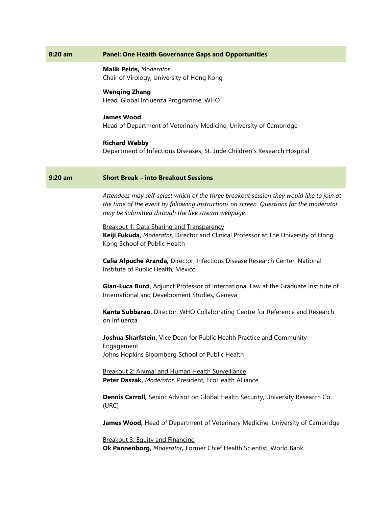| <b>Panel: One Health Governance Gaps and Opportunities</b>                                                                                                                                                                              |
|-----------------------------------------------------------------------------------------------------------------------------------------------------------------------------------------------------------------------------------------|
| <b>Malik Peiris, Moderator</b><br>Chair of Virology, University of Hong Kong                                                                                                                                                            |
| <b>Wenqing Zhang</b><br>Head, Global Influenza Programme, WHO                                                                                                                                                                           |
| <b>James Wood</b><br>Head of Department of Veterinary Medicine, University of Cambridge                                                                                                                                                 |
| <b>Richard Webby</b><br>Department of Infectious Diseases, St. Jude Children's Research Hospital                                                                                                                                        |
| <b>Short Break - into Breakout Sessions</b>                                                                                                                                                                                             |
| Attendees may self-select which of the three breakout session they would like to join at<br>the time of the event by following instructions on screen. Questions for the moderator<br>may be submitted through the live stream webpage. |
| Breakout 1: Data Sharing and Transparency<br>Keiji Fukuda, Moderator, Director and Clinical Professor at The University of Hong<br>Kong School of Public Health                                                                         |
| Celia Alpuche Aranda, Director, Infectious Disease Research Center, National<br>Institute of Public Health, Mexico                                                                                                                      |
| Gian-Luca Burci, Adjunct Professor of International Law at the Graduate Institute of<br>International and Development Studies, Geneva                                                                                                   |
| Kanta Subbarao, Director, WHO Collaborating Centre for Reference and Research<br>on Influenza                                                                                                                                           |
| Joshua Sharfstein, Vice Dean for Public Health Practice and Community<br>Engagement                                                                                                                                                     |
| Johns Hopkins Bloomberg School of Public Health                                                                                                                                                                                         |
| Breakout 2: Animal and Human Health Surveillance<br>Peter Daszak, Moderator, President, EcoHealth Alliance                                                                                                                              |
| Dennis Carroll, Senior Advisor on Global Health Security, University Research Co.<br>(URC)                                                                                                                                              |
| James Wood, Head of Department of Veterinary Medicine, University of Cambridge                                                                                                                                                          |
| Breakout 3: Equity and Financing<br>Ok Pannenborg, Moderator, Former Chief Health Scientist, World Bank                                                                                                                                 |
|                                                                                                                                                                                                                                         |